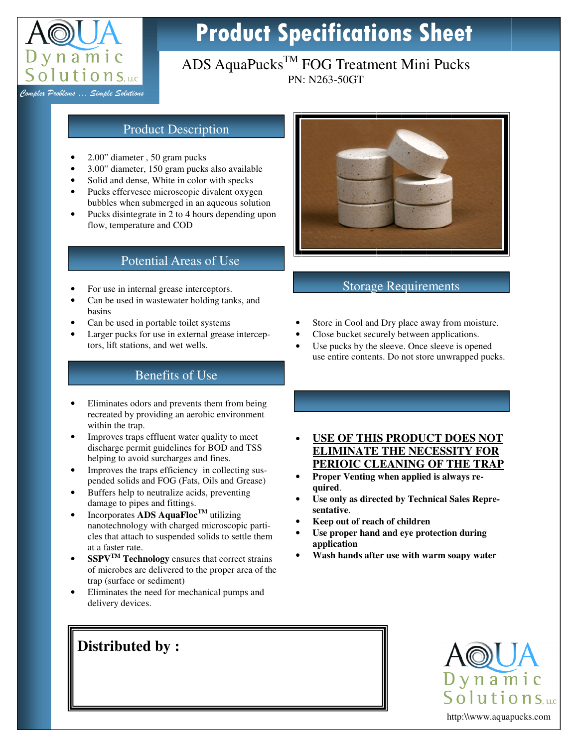

# Product Specifications Sheet

## ADS AquaPucks<sup>TM</sup> FOG Treatment Mini Pucks PN: N263-50GT

Complex Problems … Simple Solutions

#### Product Description

- 2.00" diameter , 50 gram pucks
- 3.00" diameter, 150 gram pucks also available
- Solid and dense, White in color with specks
- Pucks effervesce microscopic divalent oxygen bubbles when submerged in an aqueous solution
- Pucks disintegrate in 2 to 4 hours depending upon flow, temperature and COD

#### Potential Areas of Use

- For use in internal grease interceptors.
- Can be used in wastewater holding tanks, and basins
- Can be used in portable toilet systems
- Larger pucks for use in external grease interceptors, lift stations, and wet wells.

### Benefits of Use

- Eliminates odors and prevents them from being recreated by providing an aerobic environment within the trap.
- Improves traps effluent water quality to meet discharge permit guidelines for BOD and TSS helping to avoid surcharges and fines.
- Improves the traps efficiency in collecting suspended solids and FOG (Fats, Oils and Grease)
- Buffers help to neutralize acids, preventing damage to pipes and fittings.
- Incorporates **ADS AquaFlocTM** utilizing nanotechnology with charged microscopic particles that attach to suspended solids to settle them at a faster rate.
- **SSPVTM Technology** ensures that correct strains of microbes are delivered to the proper area of the trap (surface or sediment)

• Eliminates the need for mechanical pumps and delivery devices.



## Storage Requirements

- Store in Cool and Dry place away from moisture.
- Close bucket securely between applications.
- Use pucks by the sleeve. Once sleeve is opened use entire contents. Do not store unwrapped pucks.
- **USE OF THIS PRODUCT DOES NOT ELIMINATE THE NECESSITY FOR PERIOIC CLEANING OF THE TRAP**
- **Proper Venting when applied is always required**.
- Use only as directed by Technical Sales Repre**sentative**.
- **Keep out of reach of children**
- **Use proper hand and eye protection during application**
- **Wash hands after use with warm soapy water**

## **Distributed by :**